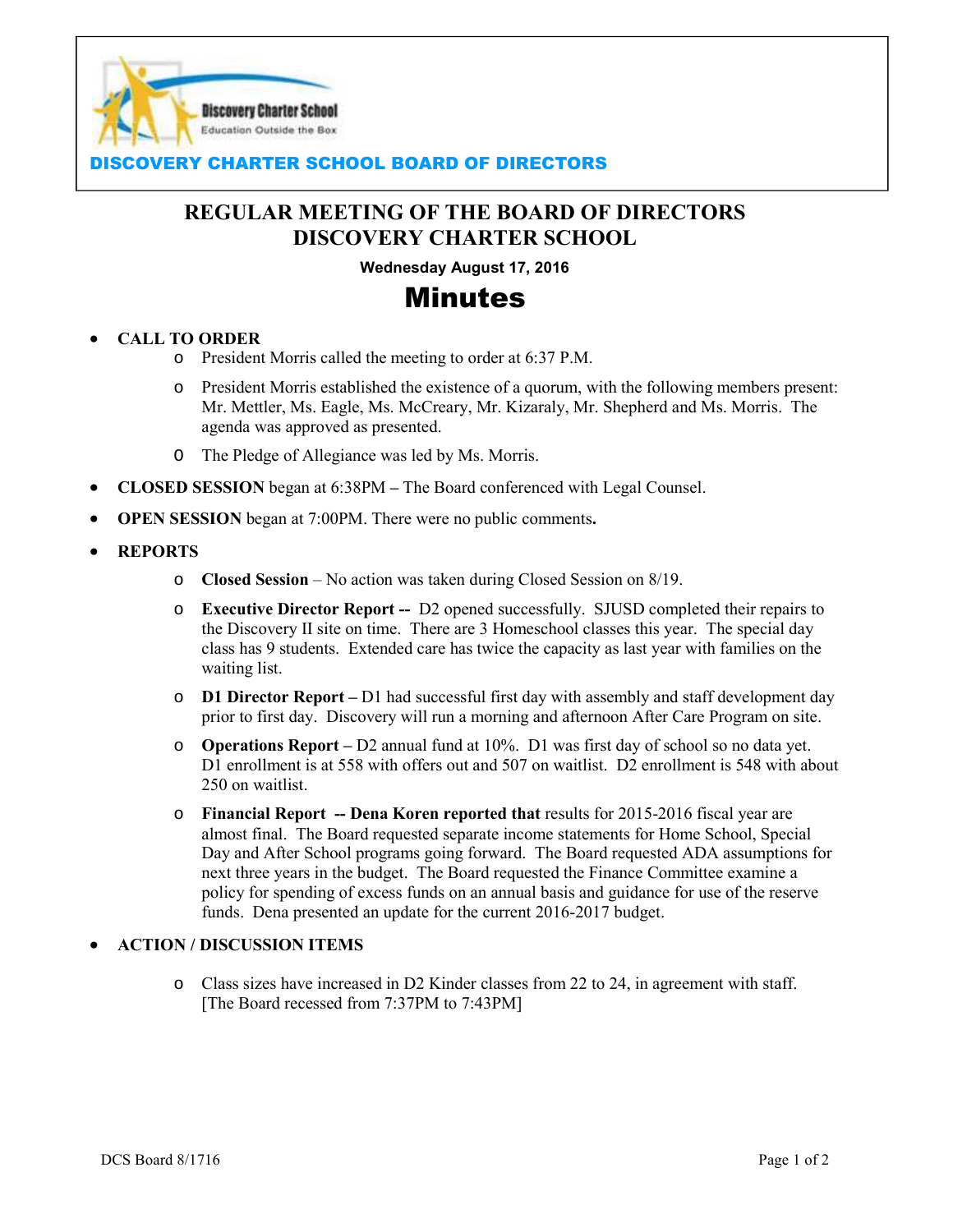

### OVERY CHARTER SCHOOL BOARD OF DIRECTORS

## **REGULAR MEETING OF THE BOARD OF DIRECTORS DISCOVERY CHARTER SCHOOL**

**Wednesday August 17, 2016** 

# Minutes

#### • **CALL TO ORDER**

- o President Morris called the meeting to order at 6:37 P.M.
- o President Morris established the existence of a quorum, with the following members present: Mr. Mettler, Ms. Eagle, Ms. McCreary, Mr. Kizaraly, Mr. Shepherd and Ms. Morris. The agenda was approved as presented.
- O The Pledge of Allegiance was led by Ms. Morris.
- **CLOSED SESSION** began at 6:38PMThe Board conferenced with Legal Counsel.
- **OPEN SESSION** began at 7:00PM. There were no public comments**.**
- **REPORTS** 
	- o **Closed Session** No action was taken during Closed Session on 8/19.
	- o **Executive Director Report --** D2 opened successfully. SJUSD completed their repairs to the Discovery II site on time. There are 3 Homeschool classes this year. The special day class has 9 students. Extended care has twice the capacity as last year with families on the waiting list.
	- o **D1 Director Report** D1 had successful first day with assembly and staff development day prior to first day. Discovery will run a morning and afternoon After Care Program on site.
	- o **Operations Report** D2 annual fund at 10%. D1 was first day of school so no data yet. D1 enrollment is at 558 with offers out and 507 on waitlist. D2 enrollment is 548 with about 250 on waitlist.
	- o **Financial Report -- Dena Koren reported that** results for 2015-2016 fiscal year are almost final. The Board requested separate income statements for Home School, Special Day and After School programs going forward. The Board requested ADA assumptions for next three years in the budget. The Board requested the Finance Committee examine a policy for spending of excess funds on an annual basis and guidance for use of the reserve funds. Dena presented an update for the current 2016-2017 budget.

#### • **ACTION / DISCUSSION ITEMS**

o Class sizes have increased in D2 Kinder classes from 22 to 24, in agreement with staff. [The Board recessed from 7:37PM to 7:43PM]